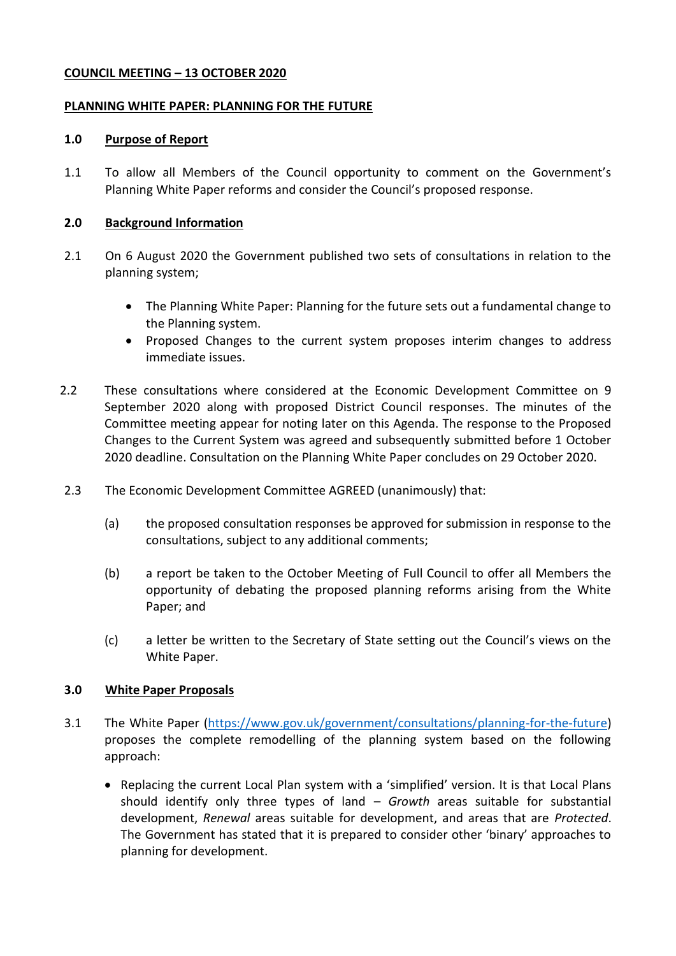## **COUNCIL MEETING – 13 OCTOBER 2020**

#### **PLANNING WHITE PAPER: PLANNING FOR THE FUTURE**

#### **1.0 Purpose of Report**

1.1 To allow all Members of the Council opportunity to comment on the Government's Planning White Paper reforms and consider the Council's proposed response.

## **2.0 Background Information**

- 2.1 On 6 August 2020 the Government published two sets of consultations in relation to the planning system;
	- The Planning White Paper: Planning for the future sets out a fundamental change to the Planning system.
	- Proposed Changes to the current system proposes interim changes to address immediate issues.
- 2.2 These consultations where considered at the Economic Development Committee on 9 September 2020 along with proposed District Council responses. The minutes of the Committee meeting appear for noting later on this Agenda. The response to the Proposed Changes to the Current System was agreed and subsequently submitted before 1 October 2020 deadline. Consultation on the Planning White Paper concludes on 29 October 2020.
- 2.3 The Economic Development Committee AGREED (unanimously) that:
	- (a) the proposed consultation responses be approved for submission in response to the consultations, subject to any additional comments;
	- (b) a report be taken to the October Meeting of Full Council to offer all Members the opportunity of debating the proposed planning reforms arising from the White Paper; and
	- (c) a letter be written to the Secretary of State setting out the Council's views on the White Paper.

## **3.0 White Paper Proposals**

- 3.1 The White Paper [\(https://www.gov.uk/government/consultations/planning-for-the-future\)](https://www.gov.uk/government/consultations/planning-for-the-future) proposes the complete remodelling of the planning system based on the following approach:
	- Replacing the current Local Plan system with a 'simplified' version. It is that Local Plans should identify only three types of land – *Growth* areas suitable for substantial development, *Renewal* areas suitable for development, and areas that are *Protected*. The Government has stated that it is prepared to consider other 'binary' approaches to planning for development.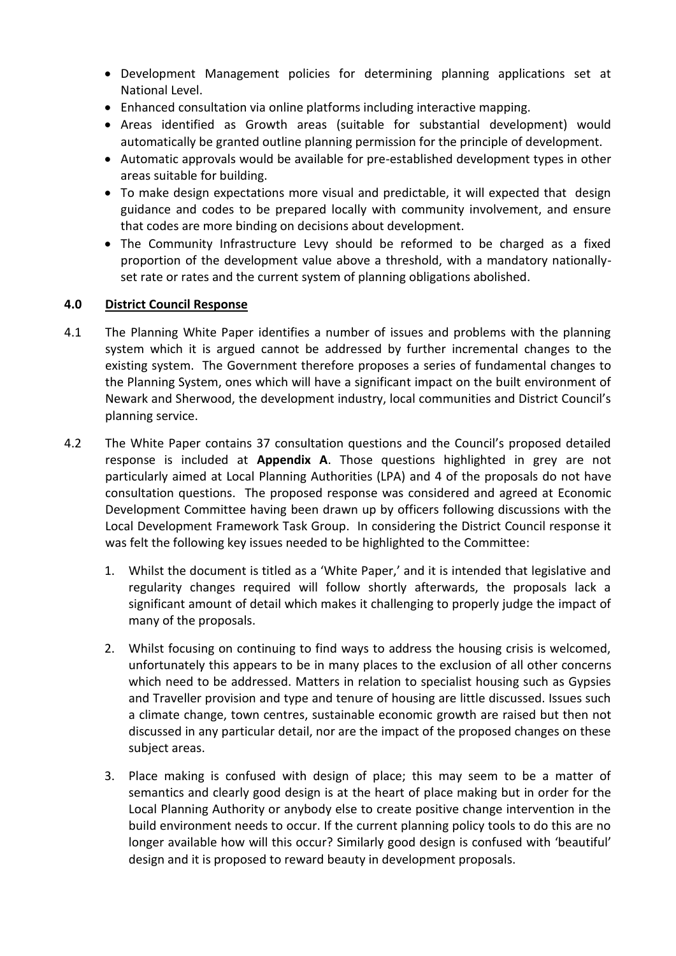- Development Management policies for determining planning applications set at National Level.
- Enhanced consultation via online platforms including interactive mapping.
- Areas identified as Growth areas (suitable for substantial development) would automatically be granted outline planning permission for the principle of development.
- Automatic approvals would be available for pre-established development types in other areas suitable for building.
- To make design expectations more visual and predictable, it will expected that design guidance and codes to be prepared locally with community involvement, and ensure that codes are more binding on decisions about development.
- The Community Infrastructure Levy should be reformed to be charged as a fixed proportion of the development value above a threshold, with a mandatory nationallyset rate or rates and the current system of planning obligations abolished.

# **4.0 District Council Response**

- 4.1 The Planning White Paper identifies a number of issues and problems with the planning system which it is argued cannot be addressed by further incremental changes to the existing system. The Government therefore proposes a series of fundamental changes to the Planning System, ones which will have a significant impact on the built environment of Newark and Sherwood, the development industry, local communities and District Council's planning service.
- 4.2 The White Paper contains 37 consultation questions and the Council's proposed detailed response is included at **Appendix A**. Those questions highlighted in grey are not particularly aimed at Local Planning Authorities (LPA) and 4 of the proposals do not have consultation questions. The proposed response was considered and agreed at Economic Development Committee having been drawn up by officers following discussions with the Local Development Framework Task Group. In considering the District Council response it was felt the following key issues needed to be highlighted to the Committee:
	- 1. Whilst the document is titled as a 'White Paper,' and it is intended that legislative and regularity changes required will follow shortly afterwards, the proposals lack a significant amount of detail which makes it challenging to properly judge the impact of many of the proposals.
	- 2. Whilst focusing on continuing to find ways to address the housing crisis is welcomed, unfortunately this appears to be in many places to the exclusion of all other concerns which need to be addressed. Matters in relation to specialist housing such as Gypsies and Traveller provision and type and tenure of housing are little discussed. Issues such a climate change, town centres, sustainable economic growth are raised but then not discussed in any particular detail, nor are the impact of the proposed changes on these subject areas.
	- 3. Place making is confused with design of place; this may seem to be a matter of semantics and clearly good design is at the heart of place making but in order for the Local Planning Authority or anybody else to create positive change intervention in the build environment needs to occur. If the current planning policy tools to do this are no longer available how will this occur? Similarly good design is confused with 'beautiful' design and it is proposed to reward beauty in development proposals.